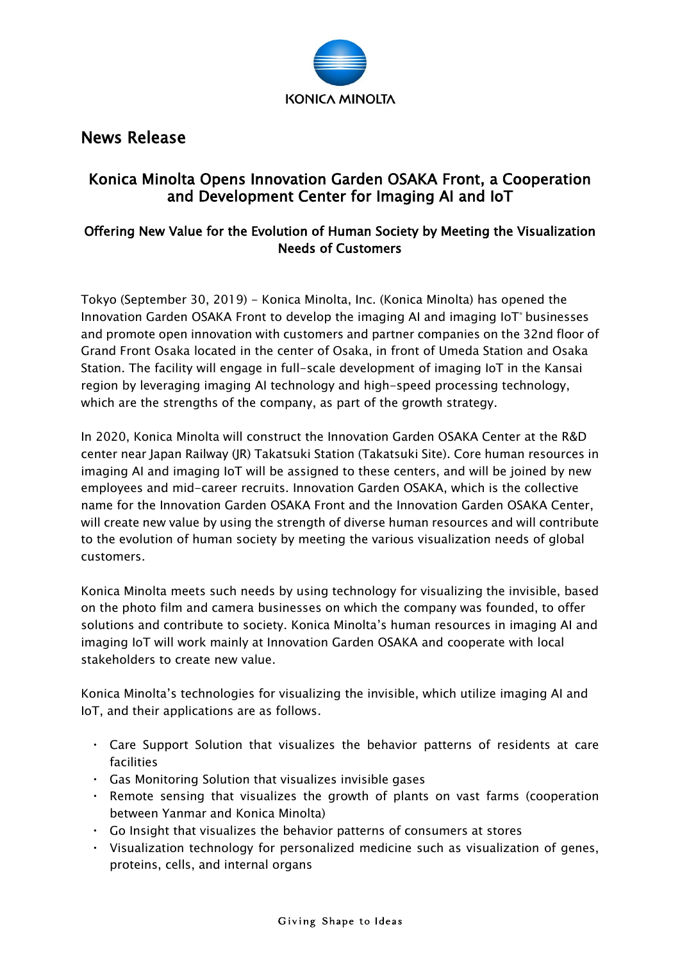

## News Release

## Konica Minolta Opens Innovation Garden OSAKA Front, a Cooperation and Development Center for Imaging AI and IoT

### Offering New Value for the Evolution of Human Society by Meeting the Visualization Needs of Customers

Tokyo (September 30, 2019) - Konica Minolta, Inc. (Konica Minolta) has opened the Innovation Garden OSAKA Front to develop the imaging AI and imaging IoT\* businesses and promote open innovation with customers and partner companies on the 32nd floor of Grand Front Osaka located in the center of Osaka, in front of Umeda Station and Osaka Station. The facility will engage in full-scale development of imaging IoT in the Kansai region by leveraging imaging AI technology and high-speed processing technology, which are the strengths of the company, as part of the growth strategy.

In 2020, Konica Minolta will construct the Innovation Garden OSAKA Center at the R&D center near Japan Railway (JR) Takatsuki Station (Takatsuki Site). Core human resources in imaging AI and imaging IoT will be assigned to these centers, and will be joined by new employees and mid-career recruits. Innovation Garden OSAKA, which is the collective name for the Innovation Garden OSAKA Front and the Innovation Garden OSAKA Center, will create new value by using the strength of diverse human resources and will contribute to the evolution of human society by meeting the various visualization needs of global customers.

Konica Minolta meets such needs by using technology for visualizing the invisible, based on the photo film and camera businesses on which the company was founded, to offer solutions and contribute to society. Konica Minolta's human resources in imaging AI and imaging IoT will work mainly at Innovation Garden OSAKA and cooperate with local stakeholders to create new value.

Konica Minolta's technologies for visualizing the invisible, which utilize imaging AI and IoT, and their applications are as follows.

- ・ Care Support Solution that visualizes the behavior patterns of residents at care facilities
- ・ Gas Monitoring Solution that visualizes invisible gases
- ・ Remote sensing that visualizes the growth of plants on vast farms (cooperation between Yanmar and Konica Minolta)
- ・ Go Insight that visualizes the behavior patterns of consumers at stores
- ・ Visualization technology for personalized medicine such as visualization of genes, proteins, cells, and internal organs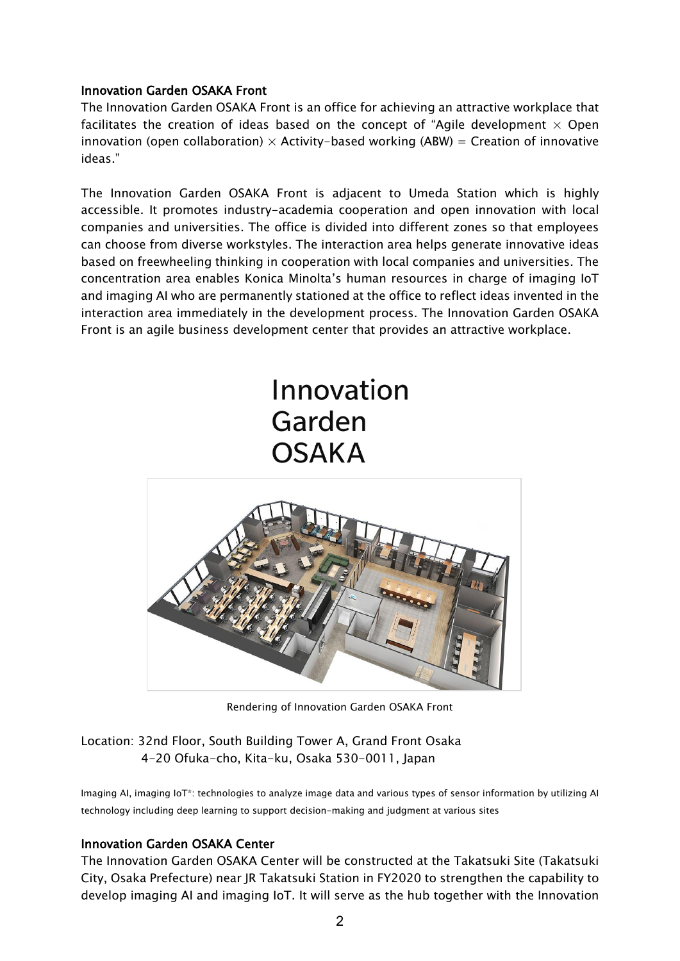#### Innovation Garden OSAKA Front

The Innovation Garden OSAKA Front is an office for achieving an attractive workplace that facilitates the creation of ideas based on the concept of "Agile development  $\times$  Open innovation (open collaboration)  $\times$  Activity-based working (ABW) = Creation of innovative ideas."

The Innovation Garden OSAKA Front is adjacent to Umeda Station which is highly accessible. It promotes industry-academia cooperation and open innovation with local companies and universities. The office is divided into different zones so that employees can choose from diverse workstyles. The interaction area helps generate innovative ideas based on freewheeling thinking in cooperation with local companies and universities. The concentration area enables Konica Minolta's human resources in charge of imaging IoT and imaging AI who are permanently stationed at the office to reflect ideas invented in the interaction area immediately in the development process. The Innovation Garden OSAKA Front is an agile business development center that provides an attractive workplace.

# Innovation Garden **OSAKA**



Rendering of Innovation Garden OSAKA Front

#### Location: 32nd Floor, South Building Tower A, Grand Front Osaka 4-20 Ofuka-cho, Kita-ku, Osaka 530-0011, Japan

Imaging AI, imaging IoT\*: technologies to analyze image data and various types of sensor information by utilizing AI technology including deep learning to support decision-making and judgment at various sites

#### Innovation Garden OSAKA Center

The Innovation Garden OSAKA Center will be constructed at the Takatsuki Site (Takatsuki City, Osaka Prefecture) near JR Takatsuki Station in FY2020 to strengthen the capability to develop imaging AI and imaging IoT. It will serve as the hub together with the Innovation